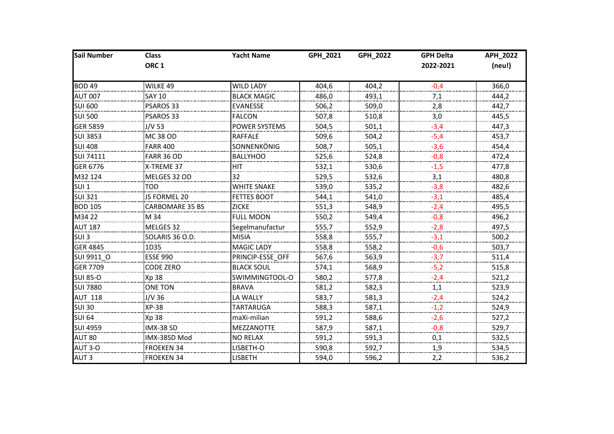| Sail Number      | <b>Class</b>         | <b>Yacht Name</b>    | GPH_2021 | GPH_2022 | <b>GPH Delta</b> | APH_2022 |
|------------------|----------------------|----------------------|----------|----------|------------------|----------|
|                  | ORC <sub>1</sub>     |                      |          |          | 2022-2021        | (neu!)   |
| <b>BOD 49</b>    | WILKE 49             | <b>WILD LADY</b>     | 404,6    | 404,2    | $-0,4$           | 366,0    |
| <b>AUT 007</b>   | SAY 10               | <b>BLACK MAGIC</b>   | 486,0    | 493,1    | 7,1              | 444,2    |
| <b>SUI 600</b>   | PSAROS 33            | <b>EVANESSE</b>      | 506,2    | 509,0    | 2,8              | 442,7    |
| <b>SUI 500</b>   | PSAROS 33            | <b>FALCON</b>        | 507,8    | 510,8    | 3,0              | 445,5    |
| <b>GER 5859</b>  | J/V 53               | <b>POWER SYSTEMS</b> | 504,5    | 501,1    | $-3,4$           | 447,3    |
| <b>SUI 3853</b>  | <b>MC 38 OD</b><br>. | <b>RAFFALE</b>       | 509,6    | 504,2    | $-5,4$           | 453,7    |
| <b>SUI 408</b>   | <b>FARR 400</b>      | SONNENKÖNIG          | 508,7    | 505,1    | $-3,6$           | 454,4    |
| <b>SUI 74111</b> | FARR 36 OD           | <b>BALLYHOO</b>      | 525,6    | 524,8    | $-0,8$           | 472,4    |
| <b>GER 6776</b>  | X-TREME 37           | HIT                  | 532,1    | 530,6    | $-1,5$           | 477,8    |
| M32 124          | MELGES 32 OD         | 32                   | 529,5    | 532,6    | 3,1              | 480,8    |
| SUI <sub>1</sub> | <b>TOD</b>           | <b>WHITE SNAKE</b>   | 539,0    | 535,2    | $-3,8$           | 482,6    |
| <b>SUI 321</b>   | JS FORMEL 20         | <b>FETTES BOOT</b>   | 544,1    | 541,0    | $-3,1$           | 485,4    |
| <b>BOD 105</b>   | CARBOMARE 35 BS      | <b>ZICKE</b>         | 551,3    | 548,9    | $-2,4$           | 495,5    |
| M34 22           | M 34                 | <b>FULL MOON</b>     | 550,2    | 549,4    | $-0,8$           | 496,2    |
| <b>AUT 187</b>   | MELGES 32            | Segelmanufactur      | 555,7    | 552,9    | $-2,8$           | 497,5    |
| SUI <sub>3</sub> | SOLARIS 36 O.D.      | <b>MISIA</b>         | 558,8    | 555,7    | $-3,1$           | 500,2    |
| <b>GER 4845</b>  | 1D35                 | MAGIC LADY           | 558,8    | 558,2    | $-0,6$           | 503,7    |
| SUI 9911 O       | <b>ESSE 990</b>      | PRINCIP-ESSE OFF     | 567,6    | 563,9    | $-3,7$           | 511,4    |
| <b>GER 7709</b>  | <b>CODE ZERO</b>     | <b>BLACK SOUL</b>    | 574,1    | 568,9    | $-5,2$           | 515,8    |
| <b>SUI 85-0</b>  | Xp 38                | SWIMMINGTOOL-O       | 580,2    | 577,8    | $-2,4$           | 521,2    |
| SUI 7880         | <b>ONE TON</b>       | <b>BRAVA</b>         | 581,2    | 582,3    | 1,1              | 523,9    |
| <b>AUT 118</b>   | J/V 36               | LA WALLY             | 583,7    | 581,3    | $-2,4$           | 524,2    |
| <b>SUI 30</b>    | <b>XP-38</b>         | <b>TARTARUGA</b>     | 588,3    | 587,1    | $-1,2$           | 524,9    |
| <b>SUI 64</b>    | Xp 38                | maXi-milian          | 591,2    | 588,6    | $-2,6$           | 527,2    |
| <b>SUI 4959</b>  | IMX-38 SD            | MEZZANOTTE           | 587,9    | 587,1    | $-0,8$           | 529,7    |
| AUT 80           | IMX-38SD Mod         | <b>NO RELAX</b>      | 591,2    | 591,3    | 0,1              | 532,5    |
| <b>AUT 3-0</b>   | <b>FROEKEN 34</b>    | LISBETH-O            | 590,8    | 592,7    | 1,9              | 534,5    |
| AUT <sub>3</sub> | <b>FROEKEN 34</b>    | <b>LISBETH</b>       | 594,0    | 596,2    | 2,2              | 536,2    |